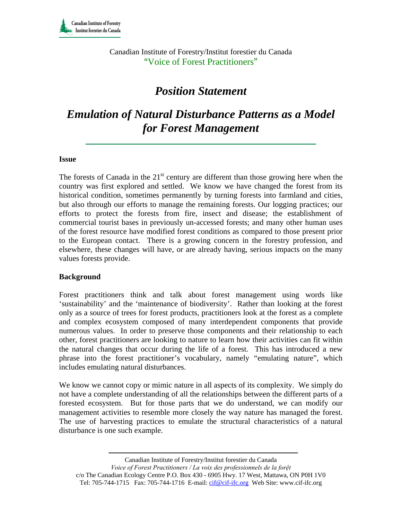Canadian Institute of Forestry/Institut forestier du Canada "Voice of Forest Practitioners"

## *Position Statement*

# *Emulation of Natural Disturbance Patterns as a Model for Forest Management*

#### **Issue**

The forests of Canada in the  $21<sup>st</sup>$  century are different than those growing here when the country was first explored and settled. We know we have changed the forest from its historical condition, sometimes permanently by turning forests into farmland and cities, but also through our efforts to manage the remaining forests. Our logging practices; our efforts to protect the forests from fire, insect and disease; the establishment of commercial tourist bases in previously un-accessed forests; and many other human uses of the forest resource have modified forest conditions as compared to those present prior to the European contact. There is a growing concern in the forestry profession, and elsewhere, these changes will have, or are already having, serious impacts on the many values forests provide.

#### **Background**

Forest practitioners think and talk about forest management using words like 'sustainability' and the 'maintenance of biodiversity'. Rather than looking at the forest only as a source of trees for forest products, practitioners look at the forest as a complete and complex ecosystem composed of many interdependent components that provide numerous values. In order to preserve those components and their relationship to each other, forest practitioners are looking to nature to learn how their activities can fit within the natural changes that occur during the life of a forest. This has introduced a new phrase into the forest practitioner's vocabulary, namely "emulating nature", which includes emulating natural disturbances.

We know we cannot copy or mimic nature in all aspects of its complexity. We simply do not have a complete understanding of all the relationships between the different parts of a forested ecosystem. But for those parts that we do understand, we can modify our management activities to resemble more closely the way nature has managed the forest. The use of harvesting practices to emulate the structural characteristics of a natural disturbance is one such example.

Canadian Institute of Forestry/Institut forestier du Canada

*Voice of Forest Practitioners / La voix des professionnels de la forệt*  c/o The Canadian Ecology Centre P.O. Box 430 - 6905 Hwy. 17 West, Mattawa, ON P0H 1V0 Tel: 705-744-1715 Fax: 705-744-1716 E-mail: cif@cif-ifc.org Web Site: www.cif-ifc.org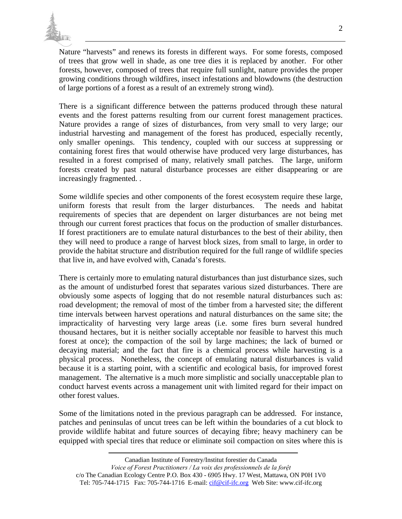

Nature "harvests" and renews its forests in different ways. For some forests, composed of trees that grow well in shade, as one tree dies it is replaced by another. For other forests, however, composed of trees that require full sunlight, nature provides the proper growing conditions through wildfires, insect infestations and blowdowns (the destruction of large portions of a forest as a result of an extremely strong wind).

There is a significant difference between the patterns produced through these natural events and the forest patterns resulting from our current forest management practices. Nature provides a range of sizes of disturbances, from very small to very large; our industrial harvesting and management of the forest has produced, especially recently, only smaller openings. This tendency, coupled with our success at suppressing or containing forest fires that would otherwise have produced very large disturbances, has resulted in a forest comprised of many, relatively small patches. The large, uniform forests created by past natural disturbance processes are either disappearing or are increasingly fragmented. .

Some wildlife species and other components of the forest ecosystem require these large, uniform forests that result from the larger disturbances. The needs and habitat requirements of species that are dependent on larger disturbances are not being met through our current forest practices that focus on the production of smaller disturbances. If forest practitioners are to emulate natural disturbances to the best of their ability, then they will need to produce a range of harvest block sizes, from small to large, in order to provide the habitat structure and distribution required for the full range of wildlife species that live in, and have evolved with, Canada's forests.

There is certainly more to emulating natural disturbances than just disturbance sizes, such as the amount of undisturbed forest that separates various sized disturbances. There are obviously some aspects of logging that do not resemble natural disturbances such as: road development; the removal of most of the timber from a harvested site; the different time intervals between harvest operations and natural disturbances on the same site; the impracticality of harvesting very large areas (i.e. some fires burn several hundred thousand hectares, but it is neither socially acceptable nor feasible to harvest this much forest at once); the compaction of the soil by large machines; the lack of burned or decaying material; and the fact that fire is a chemical process while harvesting is a physical process. Nonetheless, the concept of emulating natural disturbances is valid because it is a starting point, with a scientific and ecological basis, for improved forest management. The alternative is a much more simplistic and socially unacceptable plan to conduct harvest events across a management unit with limited regard for their impact on other forest values.

Some of the limitations noted in the previous paragraph can be addressed. For instance, patches and peninsulas of uncut trees can be left within the boundaries of a cut block to provide wildlife habitat and future sources of decaying fibre; heavy machinery can be equipped with special tires that reduce or eliminate soil compaction on sites where this is

*Voice of Forest Practitioners / La voix des professionnels de la forệt* 

c/o The Canadian Ecology Centre P.O. Box 430 - 6905 Hwy. 17 West, Mattawa, ON P0H 1V0 Tel: 705-744-1715 Fax: 705-744-1716 E-mail: cif@cif-ifc.org Web Site: www.cif-ifc.org

Canadian Institute of Forestry/Institut forestier du Canada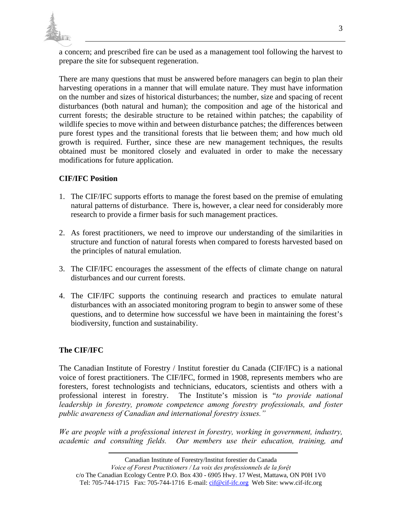

a concern; and prescribed fire can be used as a management tool following the harvest to prepare the site for subsequent regeneration.

There are many questions that must be answered before managers can begin to plan their harvesting operations in a manner that will emulate nature. They must have information on the number and sizes of historical disturbances; the number, size and spacing of recent disturbances (both natural and human); the composition and age of the historical and current forests; the desirable structure to be retained within patches; the capability of wildlife species to move within and between disturbance patches; the differences between pure forest types and the transitional forests that lie between them; and how much old growth is required. Further, since these are new management techniques, the results obtained must be monitored closely and evaluated in order to make the necessary modifications for future application.

### **CIF/IFC Position**

- 1. The CIF/IFC supports efforts to manage the forest based on the premise of emulating natural patterns of disturbance. There is, however, a clear need for considerably more research to provide a firmer basis for such management practices.
- 2. As forest practitioners, we need to improve our understanding of the similarities in structure and function of natural forests when compared to forests harvested based on the principles of natural emulation.
- 3. The CIF/IFC encourages the assessment of the effects of climate change on natural disturbances and our current forests.
- 4. The CIF/IFC supports the continuing research and practices to emulate natural disturbances with an associated monitoring program to begin to answer some of these questions, and to determine how successful we have been in maintaining the forest's biodiversity, function and sustainability.

### **The CIF/IFC**

The Canadian Institute of Forestry / Institut forestier du Canada (CIF/IFC) is a national voice of forest practitioners. The CIF/IFC, formed in 1908, represents members who are foresters, forest technologists and technicians, educators, scientists and others with a professional interest in forestry. The Institute's mission is "*to provide national leadership in forestry, promote competence among forestry professionals, and foster public awareness of Canadian and international forestry issues."* 

*We are people with a professional interest in forestry, working in government, industry, academic and consulting fields. Our members use their education, training, and* 

Canadian Institute of Forestry/Institut forestier du Canada

*Voice of Forest Practitioners / La voix des professionnels de la forệt* 

c/o The Canadian Ecology Centre P.O. Box 430 - 6905 Hwy. 17 West, Mattawa, ON P0H 1V0 Tel: 705-744-1715 Fax: 705-744-1716 E-mail: cif@cif-ifc.org Web Site: www.cif-ifc.org